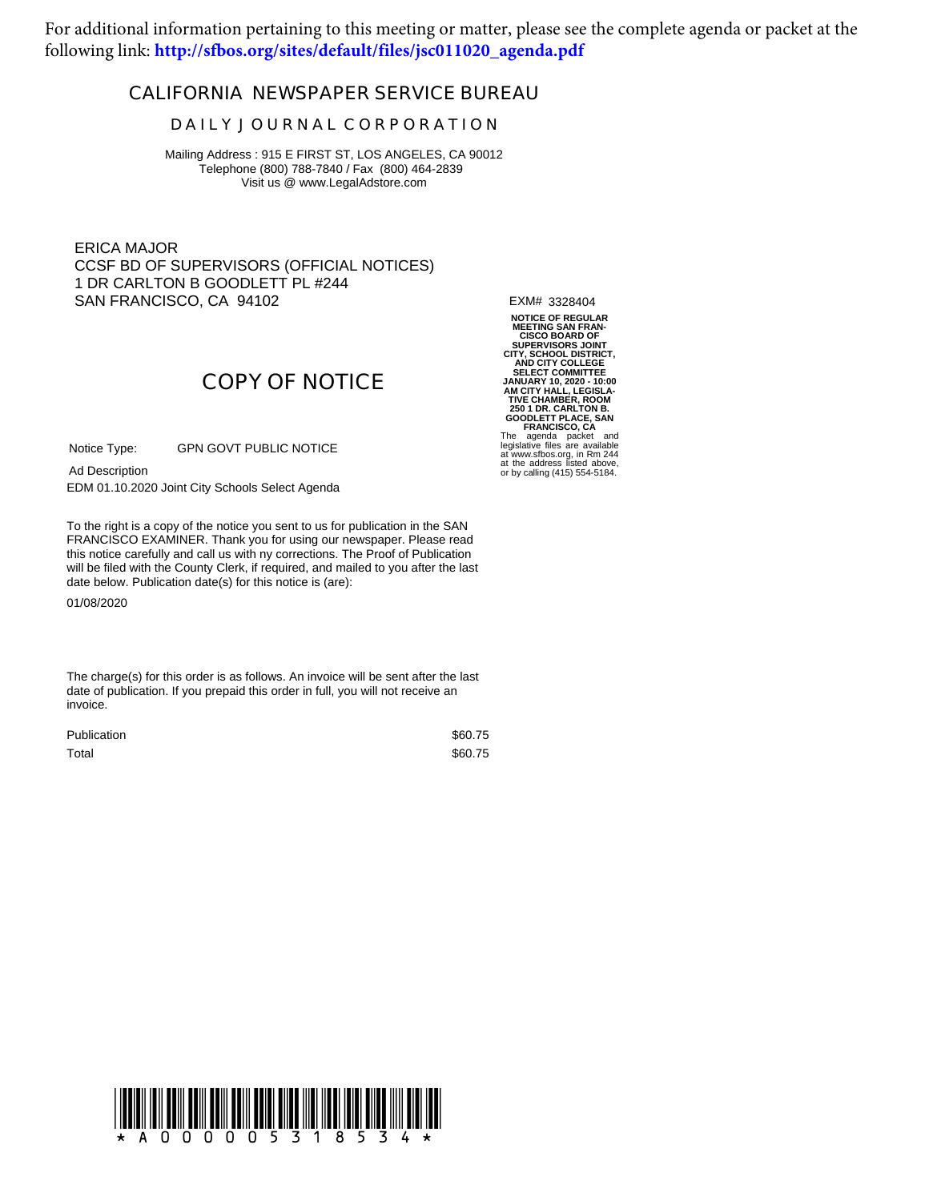For additional information pertaining to this meeting or matter, please see the complete agenda or packet at the following link: **[http://sfbos.org/sites/default/files/jsc011020\\_agenda.pdf](http://sfbos.org/sites/default/files/jsc011020_agenda.pdf)**

### **CALIFORNIA NEWSPAPER SERVICE BUREAU**

#### **D A I L Y J O U R N A L C O R P O R A T I O N**

Mailing Address : 915 E FIRST ST, LOS ANGELES, CA 90012 Telephone (800) 788-7840 / Fax (800) 464-2839 Visit us @ www.LegalAdstore.com

ERICA MAJOR CCSF BD OF SUPERVISORS (OFFICIAL NOTICES) 1 DR CARLTON B GOODLETT PL #244 SAN FRANCISCO, CA 94102

EXM# 3328404

# **COPY OF NOTICE**

GPN GOVT PUBLIC NOTICE Notice Type:

Ad Description

EDM 01.10.2020 Joint City Schools Select Agenda

FRANCISCO EXAMINER. Thank you for using our newspaper. Please read<br>this notice carefully and call us with ny corrections. The Proof of Publication To the right is a copy of the notice you sent to us for publication in the SAN FRANCISCO EXAMINER. Thank you for using our newspaper. Please read will be filed with the County Clerk, if required, and mailed to you after the last date below. Publication date(s) for this notice is (are):

01/08/2020

The charge(s) for this order is as follows. An invoice will be sent after the last date of publication. If you prepaid this order in full, you will not receive an invoice.

| Publication | \$60.75 |
|-------------|---------|
| Total       | \$60.75 |

**NOTICE OF REGULAR MEETING SAN FRAN-**CISCO BOARD OF<br>CIPENVISORS JONT<br>CITY, SCHOOL DISTRICT,<br>AND CITY COLLEGE<br>SELECT COMMITTEE<br>JANUARY 10, 2020 - 10:00<br>AM CITY HALL, LEGISLA<br>CIPENT PLACE, SAN CIPENT COLLETT PLACE, SAN<br>GOODLETT PLACE, SAN<br>FRANCISCO, CA<br>legislat